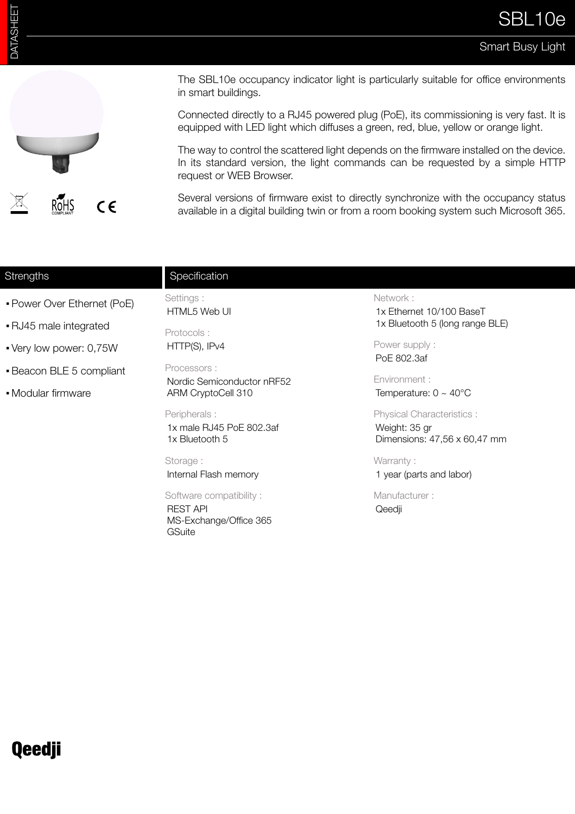## Smart Busy Light



The SBL10e occupancy indicator light is particularly suitable for office environments in smart buildings.

Connected directly to a RJ45 powered plug (PoE), its commissioning is very fast. It is equipped with LED light which diffuses a green, red, blue, yellow or orange light.

The way to control the scattered light depends on the firmware installed on the device. In its standard version, the light commands can be requested by a simple HTTP request or WEB Browser.

Several versions of firmware exist to directly synchronize with the occupancy status available in a digital building twin or from a room booking system such Microsoft 365.

| Strengths                   | Specification                                                                         |                                                                                                                          |
|-----------------------------|---------------------------------------------------------------------------------------|--------------------------------------------------------------------------------------------------------------------------|
| • Power Over Ethernet (PoE) | Settings :<br>HTML5 Web UI                                                            | Network:<br>1x Ethernet 10/100 BaseT<br>1x Bluetooth 5 (long range BLE)<br>Power supply:<br>PoE 802.3af<br>Environment : |
| • RJ45 male integrated      | Protocols:                                                                            |                                                                                                                          |
| • Very low power: 0,75W     | HTTP(S), IPv4                                                                         |                                                                                                                          |
| • Beacon BLE 5 compliant    | Processors:<br>Nordic Semiconductor nRF52                                             |                                                                                                                          |
| • Modular firmware          | ARM CryptoCell 310                                                                    | Temperature: $0 \sim 40^{\circ}$ C                                                                                       |
|                             | Peripherals:<br>1x male RJ45 PoE 802.3af<br>1x Bluetooth 5                            | <b>Physical Characteristics:</b><br>Weight: 35 gr<br>Dimensions: 47,56 x 60,47 mm                                        |
|                             | Storage :<br>Internal Flash memory                                                    | Warranty:<br>1 year (parts and labor)                                                                                    |
|                             | Software compatibility:<br><b>REST API</b><br>MS-Exchange/Office 365<br><b>GSuite</b> | Manufacturer:<br>Qeedji                                                                                                  |

## **Qeedji**